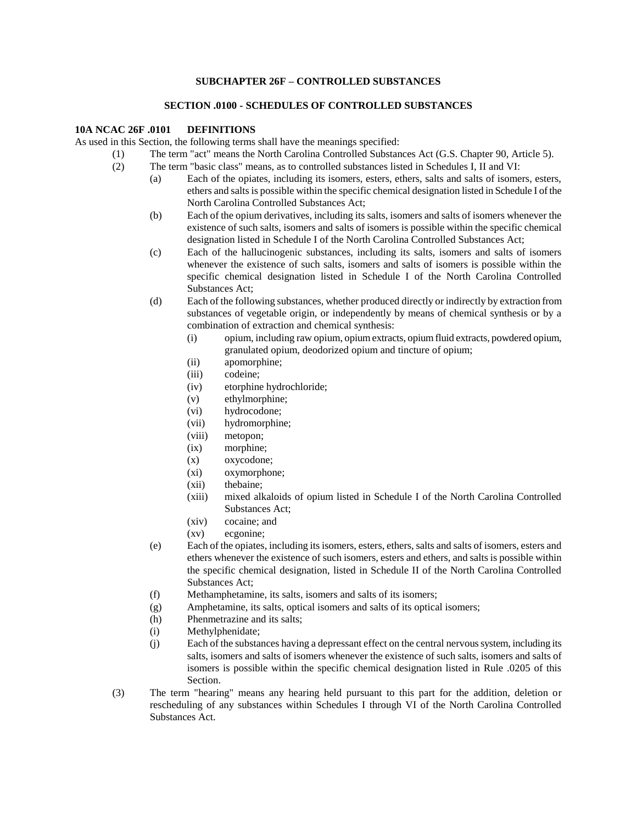#### **SUBCHAPTER 26F – CONTROLLED SUBSTANCES**

#### **SECTION .0100 - SCHEDULES OF CONTROLLED SUBSTANCES**

#### **10A NCAC 26F .0101 DEFINITIONS**

As used in this Section, the following terms shall have the meanings specified:

- (1) The term "act" means the North Carolina Controlled Substances Act (G.S. Chapter 90, Article 5).
- (2) The term "basic class" means, as to controlled substances listed in Schedules I, II and VI:
	- (a) Each of the opiates, including its isomers, esters, ethers, salts and salts of isomers, esters, ethers and salts is possible within the specific chemical designation listed in Schedule I of the North Carolina Controlled Substances Act;
	- (b) Each of the opium derivatives, including its salts, isomers and salts of isomers whenever the existence of such salts, isomers and salts of isomers is possible within the specific chemical designation listed in Schedule I of the North Carolina Controlled Substances Act;
	- (c) Each of the hallucinogenic substances, including its salts, isomers and salts of isomers whenever the existence of such salts, isomers and salts of isomers is possible within the specific chemical designation listed in Schedule I of the North Carolina Controlled Substances Act;
	- (d) Each of the following substances, whether produced directly or indirectly by extraction from substances of vegetable origin, or independently by means of chemical synthesis or by a combination of extraction and chemical synthesis:
		- (i) opium, including raw opium, opium extracts, opium fluid extracts, powdered opium, granulated opium, deodorized opium and tincture of opium;
		- (ii) apomorphine;
		- (iii) codeine;
		- (iv) etorphine hydrochloride;
		- (v) ethylmorphine;
		- (vi) hydrocodone;
		- (vii) hydromorphine;
		- (viii) metopon;
		- (ix) morphine;
		- (x) oxycodone;
		- (xi) oxymorphone;
		- (xii) thebaine;
		- (xiii) mixed alkaloids of opium listed in Schedule I of the North Carolina Controlled Substances Act;
		- (xiv) cocaine; and
		- (xv) ecgonine;
	- (e) Each of the opiates, including its isomers, esters, ethers, salts and salts of isomers, esters and ethers whenever the existence of such isomers, esters and ethers, and salts is possible within the specific chemical designation, listed in Schedule II of the North Carolina Controlled Substances Act;
	- (f) Methamphetamine, its salts, isomers and salts of its isomers;
	- (g) Amphetamine, its salts, optical isomers and salts of its optical isomers;
	- (h) Phenmetrazine and its salts;
	- (i) Methylphenidate;
	- (j) Each of the substances having a depressant effect on the central nervous system, including its salts, isomers and salts of isomers whenever the existence of such salts, isomers and salts of isomers is possible within the specific chemical designation listed in Rule .0205 of this Section.
- (3) The term "hearing" means any hearing held pursuant to this part for the addition, deletion or rescheduling of any substances within Schedules I through VI of the North Carolina Controlled Substances Act.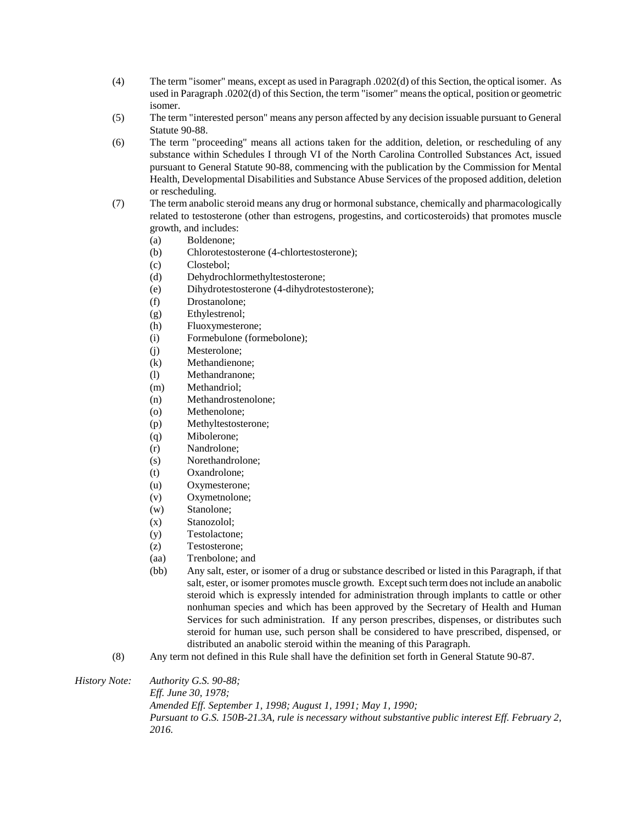- (4) The term "isomer" means, except as used in Paragraph .0202(d) of this Section, the optical isomer. As used in Paragraph .0202(d) of this Section, the term "isomer" means the optical, position or geometric isomer.
- (5) The term "interested person" means any person affected by any decision issuable pursuant to General Statute 90-88.
- (6) The term "proceeding" means all actions taken for the addition, deletion, or rescheduling of any substance within Schedules I through VI of the North Carolina Controlled Substances Act, issued pursuant to General Statute 90-88, commencing with the publication by the Commission for Mental Health, Developmental Disabilities and Substance Abuse Services of the proposed addition, deletion or rescheduling.
- (7) The term anabolic steroid means any drug or hormonal substance, chemically and pharmacologically related to testosterone (other than estrogens, progestins, and corticosteroids) that promotes muscle growth, and includes:
	- (a) Boldenone;
	- (b) Chlorotestosterone (4-chlortestosterone);
	- (c) Clostebol;
	- (d) Dehydrochlormethyltestosterone;
	- (e) Dihydrotestosterone (4-dihydrotestosterone);
	- (f) Drostanolone;
	- (g) Ethylestrenol;
	- (h) Fluoxymesterone;
	- (i) Formebulone (formebolone);
	- (j) Mesterolone;
	- (k) Methandienone;
	- (l) Methandranone;
	- (m) Methandriol;
	- (n) Methandrostenolone;
	- (o) Methenolone;
	- (p) Methyltestosterone;
	- (q) Mibolerone;
	- (r) Nandrolone;
	- (s) Norethandrolone;
	- (t) Oxandrolone;
	- (u) Oxymesterone;
	- (v) Oxymetnolone;
	- (w) Stanolone;
	- (x) Stanozolol;
	- (y) Testolactone;
	- (z) Testosterone;
	- (aa) Trenbolone; and
	- (bb) Any salt, ester, or isomer of a drug or substance described or listed in this Paragraph, if that salt, ester, or isomer promotes muscle growth. Except such term does not include an anabolic steroid which is expressly intended for administration through implants to cattle or other nonhuman species and which has been approved by the Secretary of Health and Human Services for such administration. If any person prescribes, dispenses, or distributes such steroid for human use, such person shall be considered to have prescribed, dispensed, or distributed an anabolic steroid within the meaning of this Paragraph.
- (8) Any term not defined in this Rule shall have the definition set forth in General Statute 90-87.

*History Note: Authority G.S. 90-88; Eff. June 30, 1978; Amended Eff. September 1, 1998; August 1, 1991; May 1, 1990; Pursuant to G.S. 150B-21.3A, rule is necessary without substantive public interest Eff. February 2, 2016.*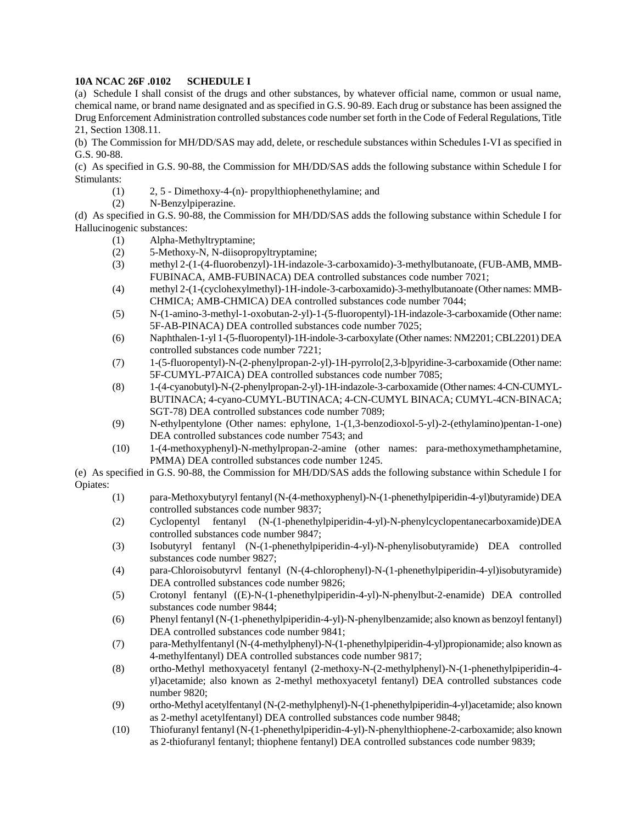# **10A NCAC 26F .0102 SCHEDULE I**

(a) Schedule I shall consist of the drugs and other substances, by whatever official name, common or usual name, chemical name, or brand name designated and as specified in G.S. 90-89. Each drug or substance has been assigned the Drug Enforcement Administration controlled substances code number set forth in the Code of Federal Regulations, Title 21, Section 1308.11.

(b) The Commission for MH/DD/SAS may add, delete, or reschedule substances within Schedules I-VI as specified in G.S. 90-88.

(c) As specified in G.S. 90-88, the Commission for MH/DD/SAS adds the following substance within Schedule I for Stimulants:

- (1) 2, 5 Dimethoxy-4-(n)- propylthiophenethylamine; and
- (2) N-Benzylpiperazine.

(d) As specified in G.S. 90-88, the Commission for MH/DD/SAS adds the following substance within Schedule I for Hallucinogenic substances:

- (1) Alpha-Methyltryptamine;
- (2) 5-Methoxy-N, N-diisopropyltryptamine;
- (3) methyl 2-(1-(4-fluorobenzyl)-1H-indazole-3-carboxamido)-3-methylbutanoate, (FUB-AMB, MMB-FUBINACA, AMB-FUBINACA) DEA controlled substances code number 7021;
- (4) methyl 2-(1-(cyclohexylmethyl)-1H-indole-3-carboxamido)-3-methylbutanoate (Other names: MMB-CHMICA; AMB-CHMICA) DEA controlled substances code number 7044;
- (5) N-(1-amino-3-methyl-1-oxobutan-2-yl)-1-(5-fluoropentyl)-1H-indazole-3-carboxamide (Other name: 5F-AB-PINACA) DEA controlled substances code number 7025;
- (6) Naphthalen-1-yl 1-(5-fluoropentyl)-1H-indole-3-carboxylate (Other names: NM2201; CBL2201) DEA controlled substances code number 7221;
- (7) 1-(5-fluoropentyl)-N-(2-phenylpropan-2-yl)-1H-pyrrolo[2,3-b]pyridine-3-carboxamide (Other name: 5F-CUMYL-P7AICA) DEA controlled substances code number 7085;
- (8) 1-(4-cyanobutyl)-N-(2-phenylpropan-2-yl)-1H-indazole-3-carboxamide (Other names: 4-CN-CUMYL-BUTINACA; 4-cyano-CUMYL-BUTINACA; 4-CN-CUMYL BINACA; CUMYL-4CN-BINACA; SGT-78) DEA controlled substances code number 7089;
- (9) N-ethylpentylone (Other names: ephylone, 1-(1,3-benzodioxol-5-yl)-2-(ethylamino)pentan-1-one) DEA controlled substances code number 7543; and
- (10) 1-(4-methoxyphenyl)-N-methylpropan-2-amine (other names: para-methoxymethamphetamine, PMMA) DEA controlled substances code number 1245.

(e) As specified in G.S. 90-88, the Commission for MH/DD/SAS adds the following substance within Schedule I for Opiates:

- (1) para-Methoxybutyryl fentanyl (N-(4-methoxyphenyl)-N-(1-phenethylpiperidin-4-yl)butyramide) DEA controlled substances code number 9837;
- (2) Cyclopentyl fentanyl (N-(1-phenethylpiperidin-4-yl)-N-phenylcyclopentanecarboxamide)DEA controlled substances code number 9847;
- (3) Isobutyryl fentanyl (N-(1-phenethylpiperidin-4-yl)-N-phenylisobutyramide) DEA controlled substances code number 9827;
- (4) para-Chloroisobutyrvl fentanyl (N-(4-chlorophenyl)-N-(1-phenethylpiperidin-4-yl)isobutyramide) DEA controlled substances code number 9826;
- (5) Crotonyl fentanyl ((E)-N-(1-phenethylpiperidin-4-yl)-N-phenylbut-2-enamide) DEA controlled substances code number 9844;
- (6) Phenyl fentanyl (N-(1-phenethylpiperidin-4-yl)-N-phenylbenzamide; also known as benzoyl fentanyl) DEA controlled substances code number 9841;
- (7) para-Methylfentanyl (N-(4-methylphenyl)-N-(1-phenethylpiperidin-4-yl)propionamide; also known as 4-methylfentanyl) DEA controlled substances code number 9817;
- (8) ortho-Methyl methoxyacetyl fentanyl (2-methoxy-N-(2-methylphenyl)-N-(1-phenethylpiperidin-4 yl)acetamide; also known as 2-methyl methoxyacetyl fentanyl) DEA controlled substances code number 9820;
- (9) ortho-Methyl acetylfentanyl (N-(2-methylphenyl)-N-(1-phenethylpiperidin-4-yl)acetamide; also known as 2-methyl acetylfentanyl) DEA controlled substances code number 9848;
- (10) Thiofuranyl fentanyl (N-(1-phenethylpiperidin-4-yl)-N-phenylthiophene-2-carboxamide; also known as 2-thiofuranyl fentanyl; thiophene fentanyl) DEA controlled substances code number 9839;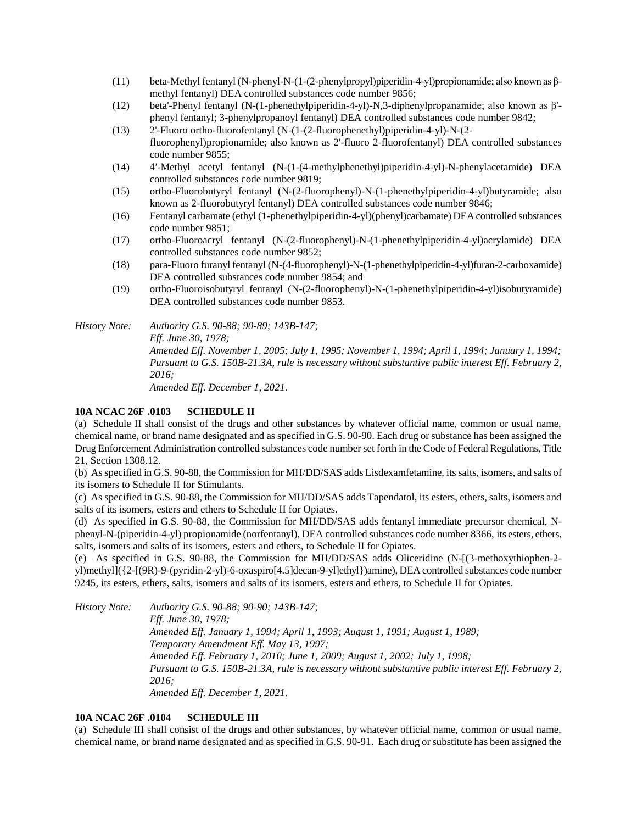- (11) beta-Methyl fentanyl (N-phenyl-N-(1-(2-phenylpropyl)piperidin-4-yl)propionamide; also known as βmethyl fentanyl) DEA controlled substances code number 9856;
- (12) beta'-Phenyl fentanyl (N-(1-phenethylpiperidin-4-yl)-N,3-diphenylpropanamide; also known as β' phenyl fentanyl; 3-phenylpropanoyl fentanyl) DEA controlled substances code number 9842;
- (13) 2'-Fluoro ortho-fluorofentanyl (N-(1-(2-fluorophenethyl)piperidin-4-yl)-N-(2 fluorophenyl)propionamide; also known as 2'-fluoro 2-fluorofentanyl) DEA controlled substances code number 9855;
- (14) 4′-Methyl acetyl fentanyl (N-(1-(4-methylphenethyl)piperidin-4-yl)-N-phenylacetamide) DEA controlled substances code number 9819;
- (15) ortho-Fluorobutyryl fentanyl (N-(2-fluorophenyl)-N-(1-phenethylpiperidin-4-yl)butyramide; also known as 2-fluorobutyryl fentanyl) DEA controlled substances code number 9846;
- (16) Fentanyl carbamate (ethyl (1-phenethylpiperidin-4-yl)(phenyl)carbamate) DEA controlled substances code number 9851;
- (17) ortho-Fluoroacryl fentanyl (N-(2-fluorophenyl)-N-(1-phenethylpiperidin-4-yl)acrylamide) DEA controlled substances code number 9852;
- (18) para-Fluoro furanyl fentanyl (N-(4-fluorophenyl)-N-(1-phenethylpiperidin-4-yl)furan-2-carboxamide) DEA controlled substances code number 9854; and
- (19) ortho-Fluoroisobutyryl fentanyl (N-(2-fluorophenyl)-N-(1-phenethylpiperidin-4-yl)isobutyramide) DEA controlled substances code number 9853.

*History Note: Authority G.S. 90-88; 90-89; 143B-147; Eff. June 30, 1978; Amended Eff. November 1, 2005; July 1, 1995; November 1, 1994; April 1, 1994; January 1, 1994; Pursuant to G.S. 150B-21.3A, rule is necessary without substantive public interest Eff. February 2, 2016; Amended Eff. December 1, 2021.*

#### **10A NCAC 26F .0103 SCHEDULE II**

(a) Schedule II shall consist of the drugs and other substances by whatever official name, common or usual name, chemical name, or brand name designated and as specified in G.S. 90-90. Each drug or substance has been assigned the Drug Enforcement Administration controlled substances code number set forth in the Code of Federal Regulations, Title 21, Section 1308.12.

(b) As specified in G.S. 90-88, the Commission for MH/DD/SAS adds Lisdexamfetamine, its salts, isomers, and salts of its isomers to Schedule II for Stimulants.

(c) As specified in G.S. 90-88, the Commission for MH/DD/SAS adds Tapendatol, its esters, ethers, salts, isomers and salts of its isomers, esters and ethers to Schedule II for Opiates.

(d) As specified in G.S. 90-88, the Commission for MH/DD/SAS adds fentanyl immediate precursor chemical, Nphenyl-N-(piperidin-4-yl) propionamide (norfentanyl), DEA controlled substances code number 8366, its esters, ethers, salts, isomers and salts of its isomers, esters and ethers, to Schedule II for Opiates.

(e) As specified in G.S. 90-88, the Commission for MH/DD/SAS adds Oliceridine (N-[(3-methoxythiophen-2 yl)methyl]({2-[(9R)-9-(pyridin-2-yl)-6-oxaspiro[4.5]decan-9-yl]ethyl})amine), DEA controlled substances code number 9245, its esters, ethers, salts, isomers and salts of its isomers, esters and ethers, to Schedule II for Opiates.

*History Note: Authority G.S. 90-88; 90-90; 143B-147;*

*Eff. June 30, 1978; Amended Eff. January 1, 1994; April 1, 1993; August 1, 1991; August 1, 1989; Temporary Amendment Eff. May 13, 1997; Amended Eff. February 1, 2010; June 1, 2009; August 1, 2002; July 1, 1998; Pursuant to G.S. 150B-21.3A, rule is necessary without substantive public interest Eff. February 2, 2016; Amended Eff. December 1, 2021.*

#### **10A NCAC 26F .0104 SCHEDULE III**

(a) Schedule III shall consist of the drugs and other substances, by whatever official name, common or usual name, chemical name, or brand name designated and as specified in G.S. 90-91. Each drug or substitute has been assigned the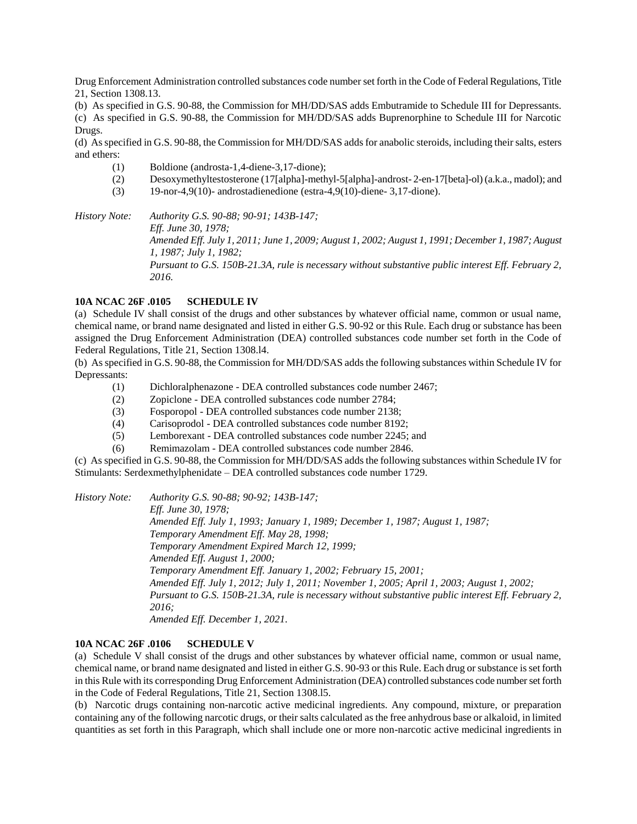Drug Enforcement Administration controlled substances code number set forth in the Code of Federal Regulations, Title 21, Section 1308.13.

(b) As specified in G.S. 90-88, the Commission for MH/DD/SAS adds Embutramide to Schedule III for Depressants. (c) As specified in G.S. 90-88, the Commission for MH/DD/SAS adds Buprenorphine to Schedule III for Narcotic Drugs.

(d) As specified in G.S. 90-88, the Commission for MH/DD/SAS adds for anabolic steroids, including their salts, esters and ethers:

- (1) Boldione (androsta-1,4-diene-3,17-dione);
- (2) Desoxymethyltestosterone (17[alpha]-methyl-5[alpha]-androst- 2-en-17[beta]-ol) (a.k.a., madol); and
- (3) 19-nor-4,9(10)- androstadienedione (estra-4,9(10)-diene- 3,17-dione).

*History Note: Authority G.S. 90-88; 90-91; 143B-147; Eff. June 30, 1978; Amended Eff. July 1, 2011; June 1, 2009; August 1, 2002; August 1, 1991; December 1, 1987; August 1, 1987; July 1, 1982; Pursuant to G.S. 150B-21.3A, rule is necessary without substantive public interest Eff. February 2, 2016.*

#### **10A NCAC 26F .0105 SCHEDULE IV**

(a) Schedule IV shall consist of the drugs and other substances by whatever official name, common or usual name, chemical name, or brand name designated and listed in either G.S. 90-92 or this Rule. Each drug or substance has been assigned the Drug Enforcement Administration (DEA) controlled substances code number set forth in the Code of Federal Regulations, Title 21, Section 1308.l4.

(b) As specified in G.S. 90-88, the Commission for MH/DD/SAS adds the following substances within Schedule IV for Depressants:

- (1) Dichloralphenazone DEA controlled substances code number 2467;
- (2) Zopiclone DEA controlled substances code number 2784;
- (3) Fosporopol DEA controlled substances code number 2138;
- (4) Carisoprodol DEA controlled substances code number 8192;
- (5) Lemborexant DEA controlled substances code number 2245; and
- (6) Remimazolam DEA controlled substances code number 2846.

(c) As specified in G.S. 90-88, the Commission for MH/DD/SAS adds the following substances within Schedule IV for Stimulants: Serdexmethylphenidate – DEA controlled substances code number 1729.

*History Note: Authority G.S. 90-88; 90-92; 143B-147; Eff. June 30, 1978; Amended Eff. July 1, 1993; January 1, 1989; December 1, 1987; August 1, 1987; Temporary Amendment Eff. May 28, 1998; Temporary Amendment Expired March 12, 1999; Amended Eff. August 1, 2000; Temporary Amendment Eff. January 1, 2002; February 15, 2001; Amended Eff. July 1, 2012; July 1, 2011; November 1, 2005; April 1, 2003; August 1, 2002; Pursuant to G.S. 150B-21.3A, rule is necessary without substantive public interest Eff. February 2, 2016; Amended Eff. December 1, 2021.*

**10A NCAC 26F .0106 SCHEDULE V**

(a) Schedule V shall consist of the drugs and other substances by whatever official name, common or usual name, chemical name, or brand name designated and listed in either G.S. 90-93 or this Rule. Each drug or substance is set forth in this Rule with its corresponding Drug Enforcement Administration (DEA) controlled substances code number set forth in the Code of Federal Regulations, Title 21, Section 1308.l5.

(b) Narcotic drugs containing non-narcotic active medicinal ingredients. Any compound, mixture, or preparation containing any of the following narcotic drugs, or their salts calculated as the free anhydrous base or alkaloid, in limited quantities as set forth in this Paragraph, which shall include one or more non-narcotic active medicinal ingredients in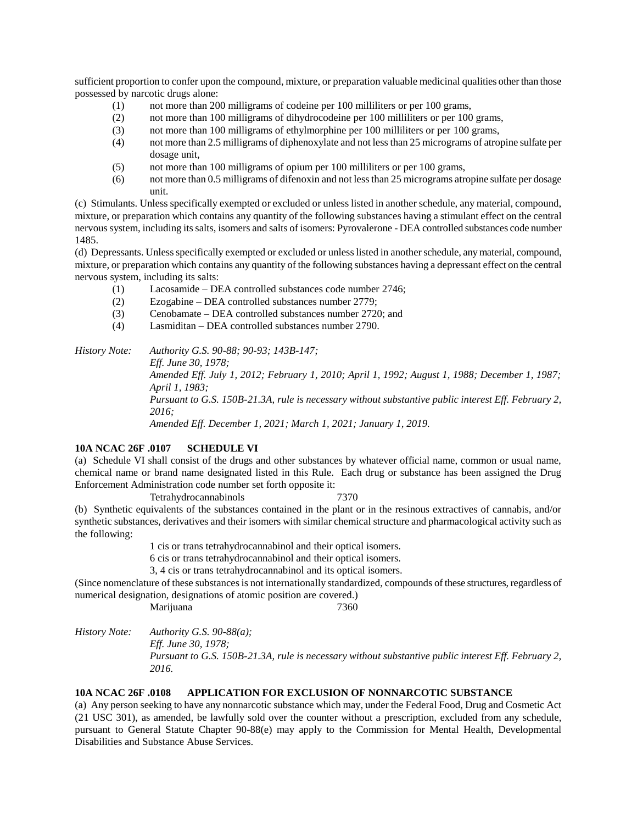sufficient proportion to confer upon the compound, mixture, or preparation valuable medicinal qualities other than those possessed by narcotic drugs alone:

- (1) not more than 200 milligrams of codeine per 100 milliliters or per 100 grams,
- (2) not more than 100 milligrams of dihydrocodeine per 100 milliliters or per 100 grams,
- (3) not more than 100 milligrams of ethylmorphine per 100 milliliters or per 100 grams,
- (4) not more than 2.5 milligrams of diphenoxylate and not less than 25 micrograms of atropine sulfate per dosage unit,
- (5) not more than 100 milligrams of opium per 100 milliliters or per 100 grams,
- (6) not more than 0.5 milligrams of difenoxin and not less than 25 micrograms atropine sulfate per dosage unit.

(c) Stimulants. Unless specifically exempted or excluded or unless listed in another schedule, any material, compound, mixture, or preparation which contains any quantity of the following substances having a stimulant effect on the central nervous system, including its salts, isomers and salts of isomers: Pyrovalerone - DEA controlled substances code number 1485.

(d) Depressants. Unless specifically exempted or excluded or unless listed in another schedule, any material, compound, mixture, or preparation which contains any quantity of the following substances having a depressant effect on the central nervous system, including its salts:

- (1) Lacosamide DEA controlled substances code number 2746;
- (2) Ezogabine DEA controlled substances number 2779;
- (3) Cenobamate DEA controlled substances number 2720; and
- (4) Lasmiditan DEA controlled substances number 2790.

*History Note: Authority G.S. 90-88; 90-93; 143B-147;*

*Eff. June 30, 1978; Amended Eff. July 1, 2012; February 1, 2010; April 1, 1992; August 1, 1988; December 1, 1987; April 1, 1983; Pursuant to G.S. 150B-21.3A, rule is necessary without substantive public interest Eff. February 2, 2016; Amended Eff. December 1, 2021; March 1, 2021; January 1, 2019.*

# **10A NCAC 26F .0107 SCHEDULE VI**

(a) Schedule VI shall consist of the drugs and other substances by whatever official name, common or usual name, chemical name or brand name designated listed in this Rule. Each drug or substance has been assigned the Drug Enforcement Administration code number set forth opposite it:

Tetrahydrocannabinols 7370 (b) Synthetic equivalents of the substances contained in the plant or in the resinous extractives of cannabis, and/or synthetic substances, derivatives and their isomers with similar chemical structure and pharmacological activity such as the following:

1 cis or trans tetrahydrocannabinol and their optical isomers.

6 cis or trans tetrahydrocannabinol and their optical isomers.

3, 4 cis or trans tetrahydrocannabinol and its optical isomers.

(Since nomenclature of these substances is not internationally standardized, compounds of these structures, regardless of numerical designation, designations of atomic position are covered.)

Marijuana 7360

*History Note: Authority G.S. 90-88(a);*

*Eff. June 30, 1978;*

*Pursuant to G.S. 150B-21.3A, rule is necessary without substantive public interest Eff. February 2, 2016.*

# **10A NCAC 26F .0108 APPLICATION FOR EXCLUSION OF NONNARCOTIC SUBSTANCE**

(a) Any person seeking to have any nonnarcotic substance which may, under the Federal Food, Drug and Cosmetic Act (21 USC 301), as amended, be lawfully sold over the counter without a prescription, excluded from any schedule, pursuant to General Statute Chapter 90-88(e) may apply to the Commission for Mental Health, Developmental Disabilities and Substance Abuse Services.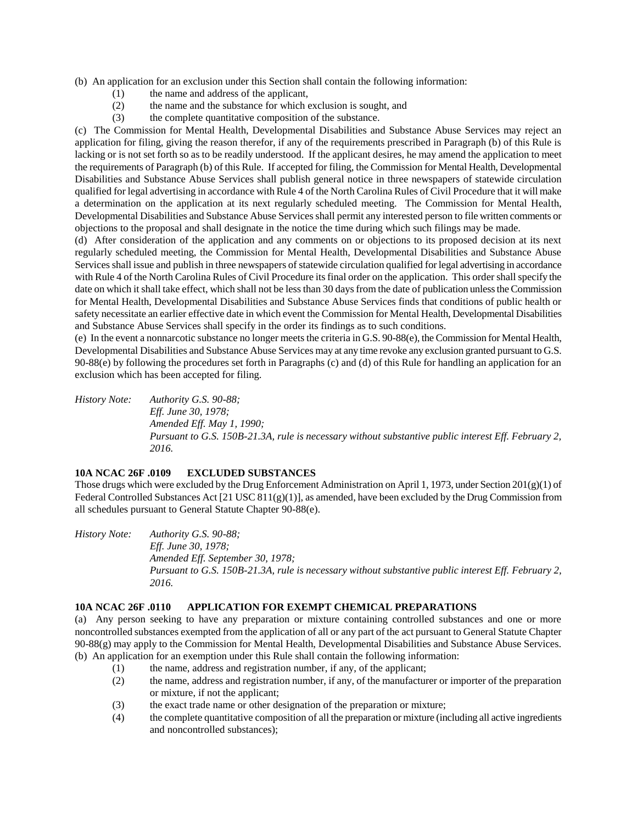(b) An application for an exclusion under this Section shall contain the following information:

- (1) the name and address of the applicant,
- (2) the name and the substance for which exclusion is sought, and
- (3) the complete quantitative composition of the substance.

(c) The Commission for Mental Health, Developmental Disabilities and Substance Abuse Services may reject an application for filing, giving the reason therefor, if any of the requirements prescribed in Paragraph (b) of this Rule is lacking or is not set forth so as to be readily understood. If the applicant desires, he may amend the application to meet the requirements of Paragraph (b) of this Rule. If accepted for filing, the Commission for Mental Health, Developmental Disabilities and Substance Abuse Services shall publish general notice in three newspapers of statewide circulation qualified for legal advertising in accordance with Rule 4 of the North Carolina Rules of Civil Procedure that it will make a determination on the application at its next regularly scheduled meeting. The Commission for Mental Health, Developmental Disabilities and Substance Abuse Services shall permit any interested person to file written comments or objections to the proposal and shall designate in the notice the time during which such filings may be made.

(d) After consideration of the application and any comments on or objections to its proposed decision at its next regularly scheduled meeting, the Commission for Mental Health, Developmental Disabilities and Substance Abuse Services shall issue and publish in three newspapers of statewide circulation qualified for legal advertising in accordance with Rule 4 of the North Carolina Rules of Civil Procedure its final order on the application. This order shall specify the date on which it shall take effect, which shall not be less than 30 days from the date of publication unless the Commission for Mental Health, Developmental Disabilities and Substance Abuse Services finds that conditions of public health or safety necessitate an earlier effective date in which event the Commission for Mental Health, Developmental Disabilities and Substance Abuse Services shall specify in the order its findings as to such conditions.

(e) In the event a nonnarcotic substance no longer meets the criteria in G.S. 90-88(e), the Commission for Mental Health, Developmental Disabilities and Substance Abuse Services may at any time revoke any exclusion granted pursuant to G.S. 90-88(e) by following the procedures set forth in Paragraphs (c) and (d) of this Rule for handling an application for an exclusion which has been accepted for filing.

*History Note: Authority G.S. 90-88; Eff. June 30, 1978; Amended Eff. May 1, 1990; Pursuant to G.S. 150B-21.3A, rule is necessary without substantive public interest Eff. February 2, 2016.*

# **10A NCAC 26F .0109 EXCLUDED SUBSTANCES**

Those drugs which were excluded by the Drug Enforcement Administration on April 1, 1973, under Section 201(g)(1) of Federal Controlled Substances Act [21 USC 811(g)(1)], as amended, have been excluded by the Drug Commission from all schedules pursuant to General Statute Chapter 90-88(e).

*History Note: Authority G.S. 90-88; Eff. June 30, 1978; Amended Eff. September 30, 1978; Pursuant to G.S. 150B-21.3A, rule is necessary without substantive public interest Eff. February 2, 2016.*

# **10A NCAC 26F .0110 APPLICATION FOR EXEMPT CHEMICAL PREPARATIONS**

(a) Any person seeking to have any preparation or mixture containing controlled substances and one or more noncontrolled substances exempted from the application of all or any part of the act pursuant to General Statute Chapter 90-88(g) may apply to the Commission for Mental Health, Developmental Disabilities and Substance Abuse Services. (b) An application for an exemption under this Rule shall contain the following information:

- (1) the name, address and registration number, if any, of the applicant;
- (2) the name, address and registration number, if any, of the manufacturer or importer of the preparation or mixture, if not the applicant;
- (3) the exact trade name or other designation of the preparation or mixture;
- (4) the complete quantitative composition of all the preparation or mixture (including all active ingredients and noncontrolled substances);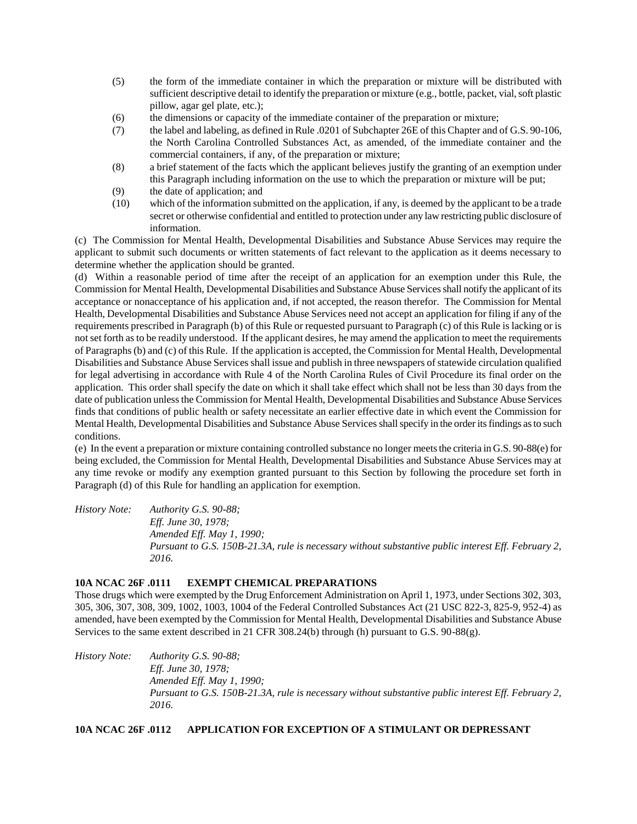- (5) the form of the immediate container in which the preparation or mixture will be distributed with sufficient descriptive detail to identify the preparation or mixture (e.g., bottle, packet, vial, soft plastic pillow, agar gel plate, etc.);
- (6) the dimensions or capacity of the immediate container of the preparation or mixture;
- (7) the label and labeling, as defined in Rule .0201 of Subchapter 26E of this Chapter and of G.S. 90-106, the North Carolina Controlled Substances Act, as amended, of the immediate container and the commercial containers, if any, of the preparation or mixture;
- (8) a brief statement of the facts which the applicant believes justify the granting of an exemption under this Paragraph including information on the use to which the preparation or mixture will be put;
- (9) the date of application; and
- (10) which of the information submitted on the application, if any, is deemed by the applicant to be a trade secret or otherwise confidential and entitled to protection under any law restricting public disclosure of information.

(c) The Commission for Mental Health, Developmental Disabilities and Substance Abuse Services may require the applicant to submit such documents or written statements of fact relevant to the application as it deems necessary to determine whether the application should be granted.

(d) Within a reasonable period of time after the receipt of an application for an exemption under this Rule, the Commission for Mental Health, Developmental Disabilities and Substance Abuse Services shall notify the applicant of its acceptance or nonacceptance of his application and, if not accepted, the reason therefor. The Commission for Mental Health, Developmental Disabilities and Substance Abuse Services need not accept an application for filing if any of the requirements prescribed in Paragraph (b) of this Rule or requested pursuant to Paragraph (c) of this Rule is lacking or is not set forth as to be readily understood. If the applicant desires, he may amend the application to meet the requirements of Paragraphs (b) and (c) of this Rule. If the application is accepted, the Commission for Mental Health, Developmental Disabilities and Substance Abuse Services shall issue and publish in three newspapers of statewide circulation qualified for legal advertising in accordance with Rule 4 of the North Carolina Rules of Civil Procedure its final order on the application. This order shall specify the date on which it shall take effect which shall not be less than 30 days from the date of publication unless the Commission for Mental Health, Developmental Disabilities and Substance Abuse Services finds that conditions of public health or safety necessitate an earlier effective date in which event the Commission for Mental Health, Developmental Disabilities and Substance Abuse Services shall specify in the order its findings as to such conditions.

(e) In the event a preparation or mixture containing controlled substance no longer meets the criteria in G.S. 90-88(e) for being excluded, the Commission for Mental Health, Developmental Disabilities and Substance Abuse Services may at any time revoke or modify any exemption granted pursuant to this Section by following the procedure set forth in Paragraph (d) of this Rule for handling an application for exemption.

*History Note: Authority G.S. 90-88; Eff. June 30, 1978; Amended Eff. May 1, 1990; Pursuant to G.S. 150B-21.3A, rule is necessary without substantive public interest Eff. February 2, 2016.*

# **10A NCAC 26F .0111 EXEMPT CHEMICAL PREPARATIONS**

Those drugs which were exempted by the Drug Enforcement Administration on April 1, 1973, under Sections 302, 303, 305, 306, 307, 308, 309, 1002, 1003, 1004 of the Federal Controlled Substances Act (21 USC 822-3, 825-9, 952-4) as amended, have been exempted by the Commission for Mental Health, Developmental Disabilities and Substance Abuse Services to the same extent described in 21 CFR 308.24(b) through (h) pursuant to G.S. 90-88(g).

*History Note: Authority G.S. 90-88; Eff. June 30, 1978; Amended Eff. May 1, 1990; Pursuant to G.S. 150B-21.3A, rule is necessary without substantive public interest Eff. February 2, 2016.*

**10A NCAC 26F .0112 APPLICATION FOR EXCEPTION OF A STIMULANT OR DEPRESSANT**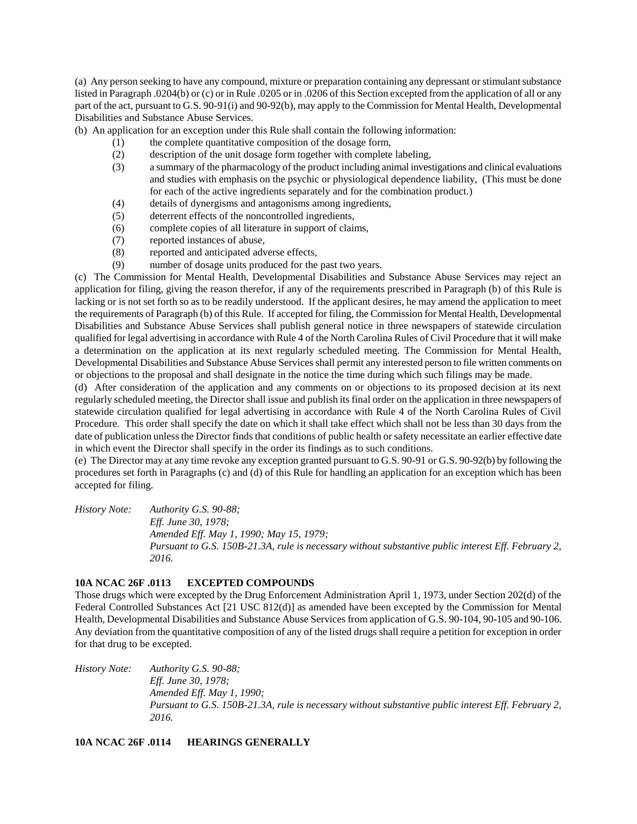(a) Any person seeking to have any compound, mixture or preparation containing any depressant or stimulant substance listed in Paragraph .0204(b) or (c) or in Rule .0205 or in .0206 of this Section excepted from the application of all or any part of the act, pursuant to G.S. 90-91(i) and 90-92(b), may apply to the Commission for Mental Health, Developmental Disabilities and Substance Abuse Services.

(b) An application for an exception under this Rule shall contain the following information:

- (1) the complete quantitative composition of the dosage form,
- (2) description of the unit dosage form together with complete labeling,
- (3) a summary of the pharmacology of the product including animal investigations and clinical evaluations and studies with emphasis on the psychic or physiological dependence liability, (This must be done for each of the active ingredients separately and for the combination product.)
- (4) details of dynergisms and antagonisms among ingredients,
- (5) deterrent effects of the noncontrolled ingredients,
- (6) complete copies of all literature in support of claims,
- (7) reported instances of abuse,
- (8) reported and anticipated adverse effects,
- (9) number of dosage units produced for the past two years.

(c) The Commission for Mental Health, Developmental Disabilities and Substance Abuse Services may reject an application for filing, giving the reason therefor, if any of the requirements prescribed in Paragraph (b) of this Rule is lacking or is not set forth so as to be readily understood. If the applicant desires, he may amend the application to meet the requirements of Paragraph (b) of this Rule. If accepted for filing, the Commission for Mental Health, Developmental Disabilities and Substance Abuse Services shall publish general notice in three newspapers of statewide circulation qualified for legal advertising in accordance with Rule 4 of the North Carolina Rules of Civil Procedure that it will make a determination on the application at its next regularly scheduled meeting. The Commission for Mental Health, Developmental Disabilities and Substance Abuse Services shall permit any interested person to file written comments on or objections to the proposal and shall designate in the notice the time during which such filings may be made.

(d) After consideration of the application and any comments on or objections to its proposed decision at its next regularly scheduled meeting, the Director shall issue and publish its final order on the application in three newspapers of statewide circulation qualified for legal advertising in accordance with Rule 4 of the North Carolina Rules of Civil Procedure. This order shall specify the date on which it shall take effect which shall not be less than 30 days from the date of publication unless the Director finds that conditions of public health or safety necessitate an earlier effective date in which event the Director shall specify in the order its findings as to such conditions.

(e) The Director may at any time revoke any exception granted pursuant to G.S. 90-91 or G.S. 90-92(b) by following the procedures set forth in Paragraphs (c) and (d) of this Rule for handling an application for an exception which has been accepted for filing.

*History Note: Authority G.S. 90-88; Eff. June 30, 1978; Amended Eff. May 1, 1990; May 15, 1979; Pursuant to G.S. 150B-21.3A, rule is necessary without substantive public interest Eff. February 2, 2016.*

# **10A NCAC 26F .0113 EXCEPTED COMPOUNDS**

Those drugs which were excepted by the Drug Enforcement Administration April 1, 1973, under Section 202(d) of the Federal Controlled Substances Act [21 USC 812(d)] as amended have been excepted by the Commission for Mental Health, Developmental Disabilities and Substance Abuse Services from application of G.S. 90-104, 90-105 and 90-106. Any deviation from the quantitative composition of any of the listed drugs shall require a petition for exception in order for that drug to be excepted.

*History Note: Authority G.S. 90-88; Eff. June 30, 1978; Amended Eff. May 1, 1990; Pursuant to G.S. 150B-21.3A, rule is necessary without substantive public interest Eff. February 2, 2016.*

**10A NCAC 26F .0114 HEARINGS GENERALLY**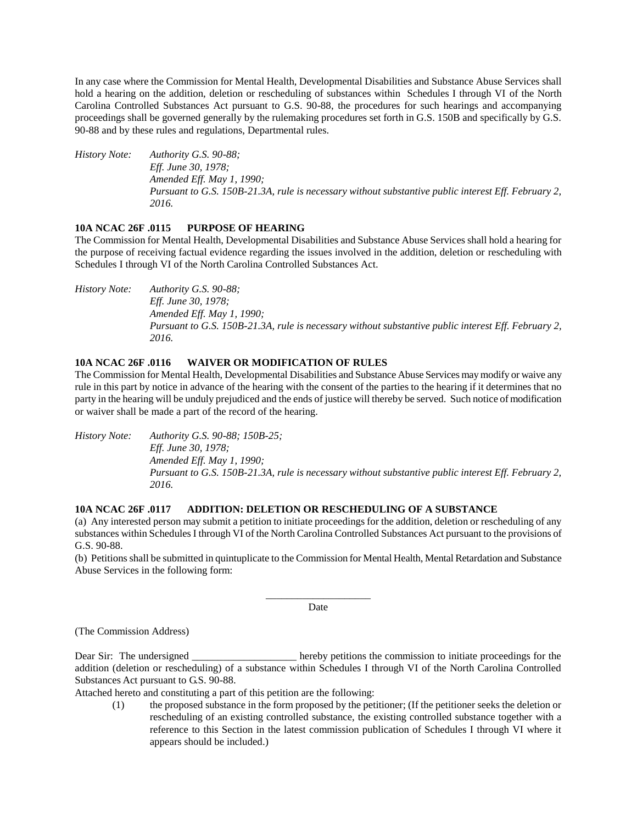In any case where the Commission for Mental Health, Developmental Disabilities and Substance Abuse Services shall hold a hearing on the addition, deletion or rescheduling of substances within Schedules I through VI of the North Carolina Controlled Substances Act pursuant to G.S. 90-88, the procedures for such hearings and accompanying proceedings shall be governed generally by the rulemaking procedures set forth in G.S. 150B and specifically by G.S. 90-88 and by these rules and regulations, Departmental rules.

*History Note: Authority G.S. 90-88; Eff. June 30, 1978; Amended Eff. May 1, 1990; Pursuant to G.S. 150B-21.3A, rule is necessary without substantive public interest Eff. February 2, 2016.*

# **10A NCAC 26F .0115 PURPOSE OF HEARING**

The Commission for Mental Health, Developmental Disabilities and Substance Abuse Services shall hold a hearing for the purpose of receiving factual evidence regarding the issues involved in the addition, deletion or rescheduling with Schedules I through VI of the North Carolina Controlled Substances Act.

*History Note: Authority G.S. 90-88; Eff. June 30, 1978; Amended Eff. May 1, 1990; Pursuant to G.S. 150B-21.3A, rule is necessary without substantive public interest Eff. February 2, 2016.*

# **10A NCAC 26F .0116 WAIVER OR MODIFICATION OF RULES**

The Commission for Mental Health, Developmental Disabilities and Substance Abuse Services may modify or waive any rule in this part by notice in advance of the hearing with the consent of the parties to the hearing if it determines that no party in the hearing will be unduly prejudiced and the ends of justice will thereby be served. Such notice of modification or waiver shall be made a part of the record of the hearing.

*History Note: Authority G.S. 90-88; 150B-25; Eff. June 30, 1978; Amended Eff. May 1, 1990; Pursuant to G.S. 150B-21.3A, rule is necessary without substantive public interest Eff. February 2, 2016.*

# **10A NCAC 26F .0117 ADDITION: DELETION OR RESCHEDULING OF A SUBSTANCE**

(a) Any interested person may submit a petition to initiate proceedings for the addition, deletion or rescheduling of any substances within Schedules I through VI of the North Carolina Controlled Substances Act pursuant to the provisions of G.S. 90-88.

(b) Petitions shall be submitted in quintuplicate to the Commission for Mental Health, Mental Retardation and Substance Abuse Services in the following form:

> \_\_\_\_\_\_\_\_\_\_\_\_\_\_\_\_\_\_\_\_ Date

(The Commission Address)

Dear Sir: The undersigned hereby petitions the commission to initiate proceedings for the addition (deletion or rescheduling) of a substance within Schedules I through VI of the North Carolina Controlled Substances Act pursuant to G.S. 90-88.

Attached hereto and constituting a part of this petition are the following:

(1) the proposed substance in the form proposed by the petitioner; (If the petitioner seeks the deletion or rescheduling of an existing controlled substance, the existing controlled substance together with a reference to this Section in the latest commission publication of Schedules I through VI where it appears should be included.)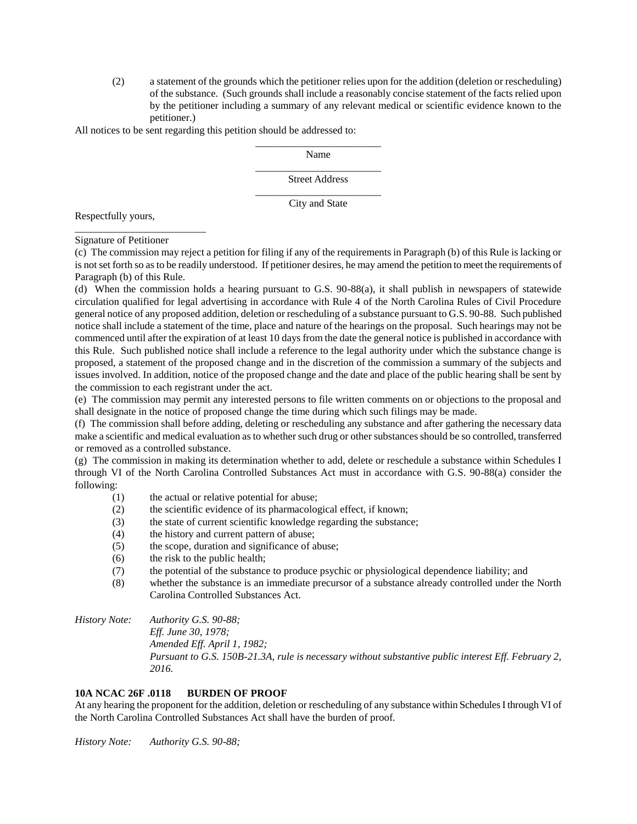(2) a statement of the grounds which the petitioner relies upon for the addition (deletion or rescheduling) of the substance. (Such grounds shall include a reasonably concise statement of the facts relied upon by the petitioner including a summary of any relevant medical or scientific evidence known to the petitioner.)

All notices to be sent regarding this petition should be addressed to:

\_\_\_\_\_\_\_\_\_\_\_\_\_\_\_\_\_\_\_\_\_\_\_\_ Name \_\_\_\_\_\_\_\_\_\_\_\_\_\_\_\_\_\_\_\_\_\_\_\_

Street Address \_\_\_\_\_\_\_\_\_\_\_\_\_\_\_\_\_\_\_\_\_\_\_\_

City and State

Respectfully yours,

Signature of Petitioner

\_\_\_\_\_\_\_\_\_\_\_\_\_\_\_\_\_\_\_\_\_\_\_\_\_

(c) The commission may reject a petition for filing if any of the requirements in Paragraph (b) of this Rule is lacking or is not set forth so as to be readily understood. If petitioner desires, he may amend the petition to meet the requirements of Paragraph (b) of this Rule.

(d) When the commission holds a hearing pursuant to G.S. 90-88(a), it shall publish in newspapers of statewide circulation qualified for legal advertising in accordance with Rule 4 of the North Carolina Rules of Civil Procedure general notice of any proposed addition, deletion or rescheduling of a substance pursuant to G.S. 90-88. Such published notice shall include a statement of the time, place and nature of the hearings on the proposal. Such hearings may not be commenced until after the expiration of at least 10 days from the date the general notice is published in accordance with this Rule. Such published notice shall include a reference to the legal authority under which the substance change is proposed, a statement of the proposed change and in the discretion of the commission a summary of the subjects and issues involved. In addition, notice of the proposed change and the date and place of the public hearing shall be sent by the commission to each registrant under the act.

(e) The commission may permit any interested persons to file written comments on or objections to the proposal and shall designate in the notice of proposed change the time during which such filings may be made.

(f) The commission shall before adding, deleting or rescheduling any substance and after gathering the necessary data make a scientific and medical evaluation as to whether such drug or other substances should be so controlled, transferred or removed as a controlled substance.

(g) The commission in making its determination whether to add, delete or reschedule a substance within Schedules I through VI of the North Carolina Controlled Substances Act must in accordance with G.S. 90-88(a) consider the following:

- (1) the actual or relative potential for abuse;
- (2) the scientific evidence of its pharmacological effect, if known;
- (3) the state of current scientific knowledge regarding the substance;
- (4) the history and current pattern of abuse;
- (5) the scope, duration and significance of abuse;
- (6) the risk to the public health;
- (7) the potential of the substance to produce psychic or physiological dependence liability; and
- (8) whether the substance is an immediate precursor of a substance already controlled under the North Carolina Controlled Substances Act.

*History Note: Authority G.S. 90-88;*

*Eff. June 30, 1978; Amended Eff. April 1, 1982; Pursuant to G.S. 150B-21.3A, rule is necessary without substantive public interest Eff. February 2, 2016.*

# **10A NCAC 26F .0118 BURDEN OF PROOF**

At any hearing the proponent for the addition, deletion or rescheduling of any substance within Schedules I through VI of the North Carolina Controlled Substances Act shall have the burden of proof.

*History Note: Authority G.S. 90-88;*